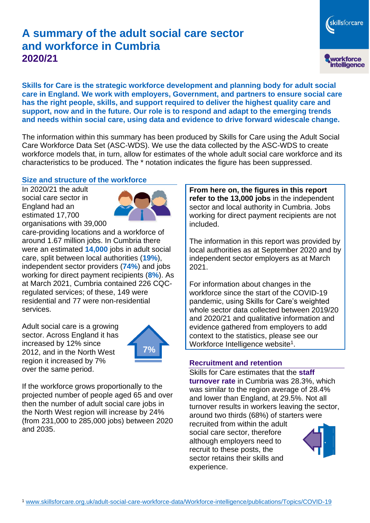# **A summary of the adult social care sector and workforce in Cumbria 2020/21**

skillsforcare workforce<br>intelligence

**Skills for Care is the strategic workforce development and planning body for adult social care in England. We work with employers, Government, and partners to ensure social care has the right people, skills, and support required to deliver the highest quality care and support, now and in the future. Our role is to respond and adapt to the emerging trends and needs within social care, using data and evidence to drive forward widescale change.**

The information within this summary has been produced by Skills for Care using the Adult Social Care Workforce Data Set (ASC-WDS). We use the data collected by the ASC-WDS to create workforce models that, in turn, allow for estimates of the whole adult social care workforce and its characteristics to be produced. The \* notation indicates the figure has been suppressed.

#### **Size and structure of the workforce**

In 2020/21 the adult social care sector in England had an estimated 17,700 organisations with 39,000



care-providing locations and a workforce of around 1.67 million jobs. In Cumbria there were an estimated **14,000** jobs in adult social care, split between local authorities (**19%**), independent sector providers (**74%**) and jobs working for direct payment recipients (**8%**). As at March 2021, Cumbria contained 226 CQCregulated services; of these, 149 were residential and 77 were non-residential services.

Adult social care is a growing sector. Across England it has increased by 12% since 2012, and in the North West region it increased by 7% over the same period.



If the workforce grows proportionally to the projected number of people aged 65 and over then the number of adult social care jobs in the North West region will increase by 24% (from 231,000 to 285,000 jobs) between 2020 and 2035.

**From here on, the figures in this report refer to the 13,000 jobs** in the independent sector and local authority in Cumbria. Jobs working for direct payment recipients are not included.

The information in this report was provided by local authorities as at September 2020 and by independent sector employers as at March 2021.

For information about changes in the workforce since the start of the COVID-19 pandemic, using Skills for Care's weighted whole sector data collected between 2019/20 and 2020/21 and qualitative information and evidence gathered from employers to add context to the statistics, please see our Workforce Intelligence website<sup>1</sup>.

#### **Recruitment and retention**

Skills for Care estimates that the **staff turnover rate** in Cumbria was 28.3%, which was similar to the region average of 28.4% and lower than England, at 29.5%. Not all turnover results in workers leaving the sector, around two thirds (68%) of starters were recruited from within the adult social care sector, therefore although employers need to recruit to these posts, the sector retains their skills and experience.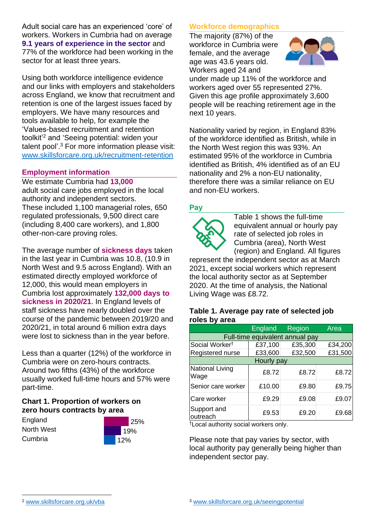Adult social care has an experienced 'core' of workers. Workers in Cumbria had on average **9.1 years of experience in the sector** and 77% of the workforce had been working in the sector for at least three years.

Using both workforce intelligence evidence and our links with employers and stakeholders across England, we know that recruitment and retention is one of the largest issues faced by employers. We have many resources and tools available to help, for example the 'Values-based recruitment and retention toolkit'<sup>2</sup> and 'Seeing potential: widen your talent pool'. <sup>3</sup> For more information please visit: [www.skillsforcare.org.uk/recruitment-retention](http://www.skillsforcare.org.uk/recruitment-retention)

#### **Employment information**

We estimate Cumbria had **13,000** adult social care jobs employed in the local authority and independent sectors. These included 1,100 managerial roles, 650 regulated professionals, 9,500 direct care (including 8,400 care workers), and 1,800 other-non-care proving roles.

The average number of **sickness days** taken in the last year in Cumbria was 10.8, (10.9 in North West and 9.5 across England). With an estimated directly employed workforce of 12,000, this would mean employers in Cumbria lost approximately **132,000 days to sickness in 2020/21**. In England levels of staff sickness have nearly doubled over the course of the pandemic between 2019/20 and 2020/21, in total around 6 million extra days were lost to sickness than in the year before.

Less than a quarter (12%) of the workforce in Cumbria were on zero-hours contracts. Around two fifths (43%) of the workforce usually worked full-time hours and 57% were part-time.

### **Chart 1. Proportion of workers on zero hours contracts by area**

**England** North West Cumbria



### **Workforce demographics**

The majority (87%) of the workforce in Cumbria were female, and the average age was 43.6 years old. Workers aged 24 and



under made up 11% of the workforce and workers aged over 55 represented 27%. Given this age profile approximately 3,600 people will be reaching retirement age in the next 10 years.

Nationality varied by region, in England 83% of the workforce identified as British, while in the North West region this was 93%. An estimated 95% of the workforce in Cumbria identified as British, 4% identified as of an EU nationality and 2% a non-EU nationality, therefore there was a similar reliance on EU and non-EU workers.

### **Pay**



Table 1 shows the full-time equivalent annual or hourly pay rate of selected job roles in Cumbria (area), North West (region) and England. All figures

represent the independent sector as at March 2021, except social workers which represent the local authority sector as at September 2020. At the time of analysis, the National Living Wage was £8.72.

#### **Table 1. Average pay rate of selected job roles by area**

|                                 | <b>England</b> | <b>Region</b> | Area    |
|---------------------------------|----------------|---------------|---------|
| Full-time equivalent annual pay |                |               |         |
| Social Worker <sup>t</sup>      | £37,100        | £35,300       | £34,200 |
| Registered nurse                | £33,600        | £32,500       | £31,500 |
| Hourly pay                      |                |               |         |
| National Living<br>Wage         | £8.72          | £8.72         | £8.72   |
| Senior care worker              | £10.00         | £9.80         | £9.75   |
| Care worker                     | £9.29          | £9.08         | £9.07   |
| Support and<br>outreach         | £9.53          | £9.20         | £9.68   |

†Local authority social workers only.

Please note that pay varies by sector, with local authority pay generally being higher than independent sector pay.